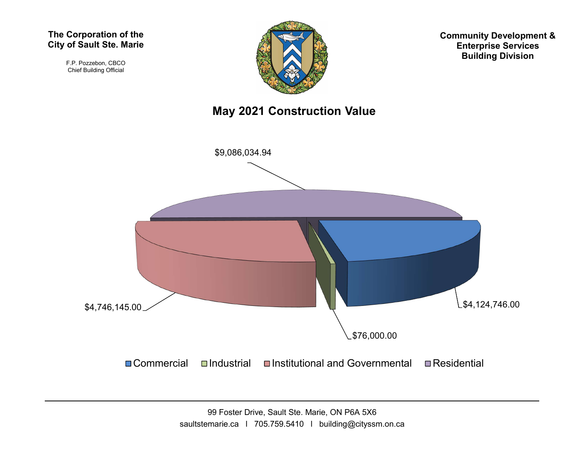#### The Corporation of the City of Sault Ste. Marie

F.P. Pozzebon, CBCO Chief Building Official



Community Development & Enterprise Services Building Division

### May 2021 Construction Value

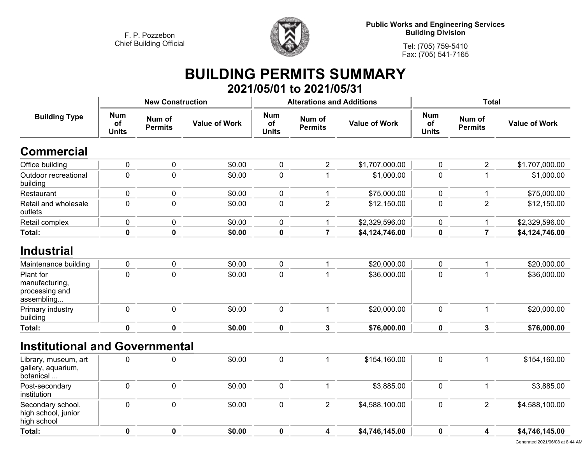

**Public Works and Engineering Services Building Division**

**Tel: (705) 759-5410 Fax: (705) 541-7165**

### **BUILDING PERMITS SUMMARY 2021/05/01 to 2021/05/31**

|                                                             |                                  | <b>New Construction</b>  |                      |                                  | <b>Alterations and Additions</b> |                      | <b>Total</b>                     |                          |                      |
|-------------------------------------------------------------|----------------------------------|--------------------------|----------------------|----------------------------------|----------------------------------|----------------------|----------------------------------|--------------------------|----------------------|
| <b>Building Type</b>                                        | <b>Num</b><br>of<br><b>Units</b> | Num of<br><b>Permits</b> | <b>Value of Work</b> | <b>Num</b><br>of<br><b>Units</b> | Num of<br><b>Permits</b>         | <b>Value of Work</b> | <b>Num</b><br>of<br><b>Units</b> | Num of<br><b>Permits</b> | <b>Value of Work</b> |
| <b>Commercial</b>                                           |                                  |                          |                      |                                  |                                  |                      |                                  |                          |                      |
| Office building                                             | $\mathbf 0$                      | $\pmb{0}$                | \$0.00               | 0                                | $\overline{2}$                   | \$1,707,000.00       | 0                                | $\overline{2}$           | \$1,707,000.00       |
| Outdoor recreational<br>building                            | $\mathbf 0$                      | $\mathbf 0$              | \$0.00               | $\overline{0}$                   |                                  | \$1,000.00           | $\mathbf 0$                      | $\mathbf 1$              | \$1,000.00           |
| Restaurant                                                  | $\pmb{0}$                        | $\mathbf 0$              | \$0.00               | $\mathbf 0$                      | 1                                | \$75,000.00          | 0                                | -1                       | \$75,000.00          |
| Retail and wholesale<br>outlets                             | $\mathbf 0$                      | $\pmb{0}$                | \$0.00               | $\mathbf 0$                      | $\overline{2}$                   | \$12,150.00          | $\pmb{0}$                        | $\overline{2}$           | \$12,150.00          |
| Retail complex                                              | $\pmb{0}$                        | $\pmb{0}$                | \$0.00               | $\mathbf 0$                      | $\mathbf{1}$                     | \$2,329,596.00       | 0                                | $\mathbf{1}$             | \$2,329,596.00       |
| Total:                                                      | $\mathbf 0$                      | $\mathbf 0$              | \$0.00               | $\bf{0}$                         | $\overline{7}$                   | \$4,124,746.00       | $\mathbf 0$                      | $\overline{7}$           | \$4,124,746.00       |
| <b>Industrial</b>                                           |                                  |                          |                      |                                  |                                  |                      |                                  |                          |                      |
| Maintenance building                                        | $\pmb{0}$                        | $\pmb{0}$                | \$0.00               | $\pmb{0}$                        | $\mathbf{1}$                     | \$20,000.00          | $\pmb{0}$                        | $\mathbf{1}$             | \$20,000.00          |
| Plant for<br>manufacturing,<br>processing and<br>assembling | $\mathbf{0}$                     | $\mathbf{0}$             | \$0.00               | $\overline{0}$                   |                                  | \$36,000.00          | $\overline{0}$                   | $\mathbf 1$              | \$36,000.00          |
| Primary industry<br>building                                | $\pmb{0}$                        | $\mathbf 0$              | \$0.00               | $\mathbf 0$                      | $\mathbf{1}$                     | \$20,000.00          | 0                                | $\mathbf{1}$             | \$20,000.00          |
| Total:                                                      | $\mathbf 0$                      | $\mathbf 0$              | \$0.00               | $\mathbf 0$                      | 3                                | \$76,000.00          | $\mathbf 0$                      | $\mathbf{3}$             | \$76,000.00          |
| <b>Institutional and Governmental</b>                       |                                  |                          |                      |                                  |                                  |                      |                                  |                          |                      |
| Library, museum, art<br>gallery, aquarium,<br>botanical     | $\mathbf 0$                      | $\mathbf 0$              | \$0.00               | $\mathbf 0$                      | 1                                | \$154,160.00         | 0                                | $\mathbf{1}$             | \$154,160.00         |
| Post-secondary<br>institution                               | $\mathbf 0$                      | $\mathbf 0$              | \$0.00               | $\mathbf 0$                      | $\mathbf 1$                      | \$3,885.00           | 0                                | $\mathbf{1}$             | \$3,885.00           |
| Secondary school,<br>high school, junior<br>high school     | $\mathbf 0$                      | $\mathbf 0$              | \$0.00               | $\mathbf 0$                      | $\overline{2}$                   | \$4,588,100.00       | 0                                | $\overline{2}$           | \$4,588,100.00       |
| <b>Total:</b>                                               | $\mathbf 0$                      | $\mathbf 0$              | \$0.00               | $\mathbf 0$                      | 4                                | \$4,746,145.00       | $\mathbf 0$                      | 4                        | \$4,746,145.00       |
|                                                             |                                  |                          |                      |                                  |                                  |                      |                                  |                          |                      |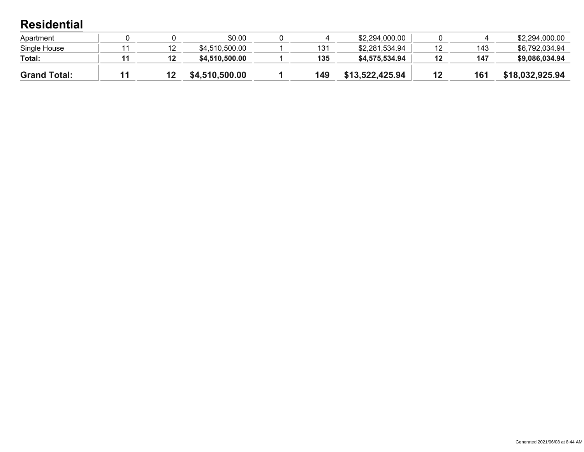### **Residential**

| Apartment           |  | \$0.00         |     | \$2,294,000.00  |     | \$2,294,000.00  |
|---------------------|--|----------------|-----|-----------------|-----|-----------------|
| Single House        |  | \$4,510,500.00 | 131 | \$2,281,534.94  | 143 | \$6,792,034.94  |
| Total:              |  | \$4,510,500.00 | 135 | \$4,575,534.94  | 147 | \$9,086,034.94  |
| <b>Grand Total:</b> |  | \$4,510,500.00 | 149 | \$13,522,425.94 | 161 | \$18,032,925.94 |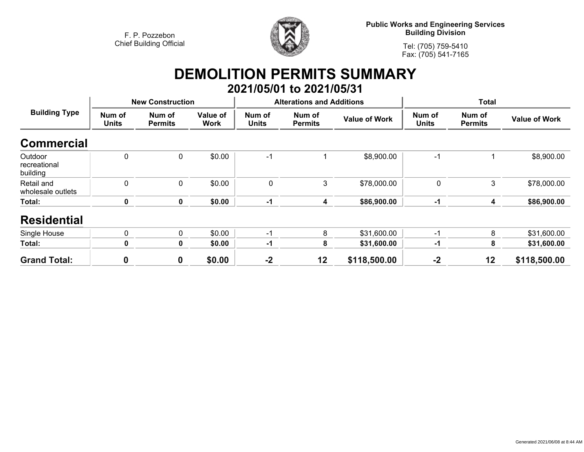

**Public Works and Engineering Services Building Division**

**Tel: (705) 759-5410Fax: (705) 541-7165**

## **DEMOLITION PERMITS SUMMARY 2021/05/01 to 2021/05/31**

| <b>Building Type</b>                | <b>New Construction</b> |                          |                         |                        | <b>Alterations and Additions</b> |                      | <b>Total</b>           |                          |                      |
|-------------------------------------|-------------------------|--------------------------|-------------------------|------------------------|----------------------------------|----------------------|------------------------|--------------------------|----------------------|
|                                     | Num of<br><b>Units</b>  | Num of<br><b>Permits</b> | Value of<br><b>Work</b> | Num of<br><b>Units</b> | Num of<br><b>Permits</b>         | <b>Value of Work</b> | Num of<br><b>Units</b> | Num of<br><b>Permits</b> | <b>Value of Work</b> |
| <b>Commercial</b>                   |                         |                          |                         |                        |                                  |                      |                        |                          |                      |
| Outdoor<br>recreational<br>building | 0                       | $\mathbf{0}$             | \$0.00                  | -1                     | 1                                | \$8,900.00           | $-1$                   |                          | \$8,900.00           |
| Retail and<br>wholesale outlets     | $\mathbf 0$             | $\mathbf{0}$             | \$0.00                  | $\mathbf 0$            | 3                                | \$78,000.00          | 0                      | 3                        | \$78,000.00          |
| Total:                              | 0                       | 0                        | \$0.00                  | $-1$                   | 4                                | \$86,900.00          | $-1$                   | 4                        | \$86,900.00          |
| <b>Residential</b>                  |                         |                          |                         |                        |                                  |                      |                        |                          |                      |
| Single House                        | 0                       | 0                        | \$0.00                  | -1                     | 8                                | \$31,600.00          | $-1$                   | 8                        | \$31,600.00          |
| Total:                              | 0                       | 0                        | \$0.00                  | -1                     | 8                                | \$31,600.00          | $-1$                   | 8                        | \$31,600.00          |
| <b>Grand Total:</b>                 | 0                       | 0                        | \$0.00                  | $-2$                   | 12                               | \$118,500.00         | $-2$                   | 12                       | \$118,500.00         |